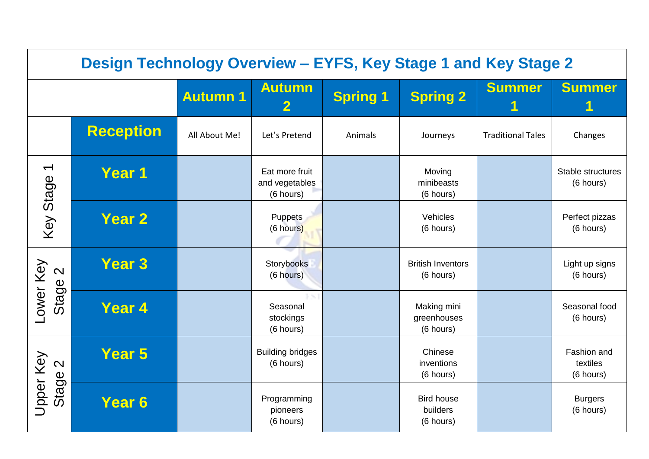| Design Technology Overview - EYFS, Key Stage 1 and Key Stage 2 |                  |                 |                                               |                 |                                            |                          |                                      |
|----------------------------------------------------------------|------------------|-----------------|-----------------------------------------------|-----------------|--------------------------------------------|--------------------------|--------------------------------------|
|                                                                |                  | <b>Autumn 1</b> | <b>Autumn</b><br>$\overline{\mathbf{2}}$      | <b>Spring 1</b> | <b>Spring 2</b>                            | <b>Summer</b>            | <b>Summer</b>                        |
|                                                                | <b>Reception</b> | All About Me!   | Let's Pretend                                 | Animals         | Journeys                                   | <b>Traditional Tales</b> | Changes                              |
| $\overline{\phantom{0}}$                                       | Year 1           |                 | Eat more fruit<br>and vegetables<br>(6 hours) |                 | Moving<br>minibeasts<br>(6 hours)          |                          | Stable structures<br>(6 hours)       |
| Key Stage                                                      | <b>Year 2</b>    |                 | Puppets<br>(6 hours)                          |                 | Vehicles<br>(6 hours)                      |                          | Perfect pizzas<br>(6 hours)          |
| Lower Key<br>$\mathbf{\Omega}$<br>Stage                        | <b>Year 3</b>    |                 | <b>Storybooks</b><br>(6 hours)                |                 | <b>British Inventors</b><br>(6 hours)      |                          | Light up signs<br>(6 hours)          |
|                                                                | Year 4           |                 | Seasonal<br>stockings<br>(6 hours)            |                 | Making mini<br>greenhouses<br>(6 hours)    |                          | Seasonal food<br>(6 hours)           |
| Jpper Key<br>Stage 2                                           | Year 5           |                 | <b>Building bridges</b><br>(6 hours)          |                 | Chinese<br>inventions<br>(6 hours)         |                          | Fashion and<br>textiles<br>(6 hours) |
|                                                                | Year 6           |                 | Programming<br>pioneers<br>(6 hours)          |                 | <b>Bird house</b><br>builders<br>(6 hours) |                          | <b>Burgers</b><br>(6 hours)          |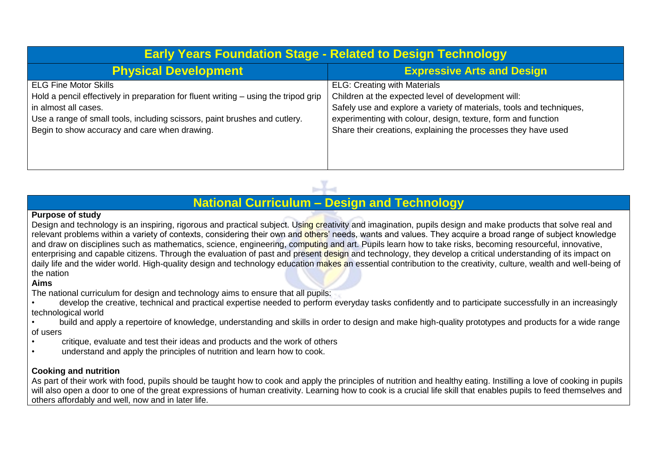| <b>Early Years Foundation Stage - Related to Design Technology</b>                  |                                                                      |  |  |
|-------------------------------------------------------------------------------------|----------------------------------------------------------------------|--|--|
| <b>Physical Development</b>                                                         | <b>Expressive Arts and Design</b>                                    |  |  |
| <b>ELG Fine Motor Skills</b>                                                        | <b>ELG: Creating with Materials</b>                                  |  |  |
| Hold a pencil effectively in preparation for fluent writing – using the tripod grip | Children at the expected level of development will:                  |  |  |
| in almost all cases.                                                                | Safely use and explore a variety of materials, tools and techniques, |  |  |
| Use a range of small tools, including scissors, paint brushes and cutlery.          | experimenting with colour, design, texture, form and function        |  |  |
| Begin to show accuracy and care when drawing.                                       | Share their creations, explaining the processes they have used       |  |  |
|                                                                                     |                                                                      |  |  |
|                                                                                     |                                                                      |  |  |
|                                                                                     |                                                                      |  |  |

# **National Curriculum – Design and Technology**

# **Purpose of study**

Design and technology is an inspiring, rigorous and practical subject. Using creativity and imagination, pupils design and make products that solve real and relevant problems within a variety of contexts, considering their own and others' needs, wants and values. They acquire a broad range of subject knowledge and draw on disciplines such as mathematics, science, engineering, computing and art. Pupils learn how to take risks, becoming resourceful, innovative, enterprising and capable citizens. Through the evaluation of past and present design and technology, they develop a critical understanding of its impact on daily life and the wider world. High-quality design and technology education makes an essential contribution to the creativity, culture, wealth and well-being of the nation

# **Aims**

The national curriculum for design and technology aims to ensure that all pupils:

• develop the creative, technical and practical expertise needed to perform everyday tasks confidently and to participate successfully in an increasingly technological world

• build and apply a repertoire of knowledge, understanding and skills in order to design and make high-quality prototypes and products for a wide range of users

- critique, evaluate and test their ideas and products and the work of others
- understand and apply the principles of nutrition and learn how to cook.

# **Cooking and nutrition**

As part of their work with food, pupils should be taught how to cook and apply the principles of nutrition and healthy eating. Instilling a love of cooking in pupils will also open a door to one of the great expressions of human creativity. Learning how to cook is a crucial life skill that enables pupils to feed themselves and others affordably and well, now and in later life.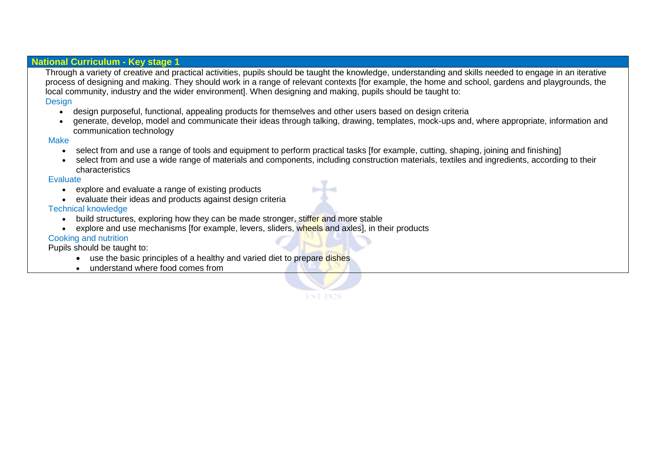#### **National Curriculum - Key stage 1**

Through a variety of creative and practical activities, pupils should be taught the knowledge, understanding and skills needed to engage in an iterative process of designing and making. They should work in a range of relevant contexts [for example, the home and school, gardens and playgrounds, the local community, industry and the wider environment]. When designing and making, pupils should be taught to:

#### **Design**

- design purposeful, functional, appealing products for themselves and other users based on design criteria
- generate, develop, model and communicate their ideas through talking, drawing, templates, mock-ups and, where appropriate, information and communication technology

#### Make

- select from and use a range of tools and equipment to perform practical tasks [for example, cutting, shaping, joining and finishing]
- select from and use a wide range of materials and components, including construction materials, textiles and ingredients, according to their characteristics

#### **Evaluate**

- explore and evaluate a range of existing products
- evaluate their ideas and products against design criteria

#### Technical knowledge

- build structures, exploring how they can be made stronger, stiffer and more stable
- explore and use mechanisms [for example, levers, sliders, wheels and axles], in their products

# Cooking and nutrition

Pupils should be taught to:

- use the basic principles of a healthy and varied diet to prepare dishes
- understand where food comes from

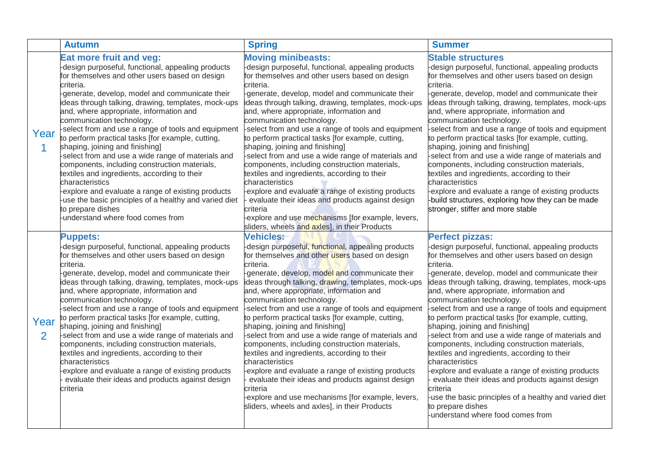|                        | <b>Autumn</b>                                                                                                                                                                                                                                                                                                                                                                                                                                                                                                                                                                                                                                                                                                                                                                                                                    | <b>Spring</b>                                                                                                                                                                                                                                                                                                                                                                                                                                                                                                                                                                                                                                                                                                                                                                                                                                                                        | <b>Summer</b>                                                                                                                                                                                                                                                                                                                                                                                                                                                                                                                                                                                                                                                                                                                                                                                                                                                                                   |
|------------------------|----------------------------------------------------------------------------------------------------------------------------------------------------------------------------------------------------------------------------------------------------------------------------------------------------------------------------------------------------------------------------------------------------------------------------------------------------------------------------------------------------------------------------------------------------------------------------------------------------------------------------------------------------------------------------------------------------------------------------------------------------------------------------------------------------------------------------------|--------------------------------------------------------------------------------------------------------------------------------------------------------------------------------------------------------------------------------------------------------------------------------------------------------------------------------------------------------------------------------------------------------------------------------------------------------------------------------------------------------------------------------------------------------------------------------------------------------------------------------------------------------------------------------------------------------------------------------------------------------------------------------------------------------------------------------------------------------------------------------------|-------------------------------------------------------------------------------------------------------------------------------------------------------------------------------------------------------------------------------------------------------------------------------------------------------------------------------------------------------------------------------------------------------------------------------------------------------------------------------------------------------------------------------------------------------------------------------------------------------------------------------------------------------------------------------------------------------------------------------------------------------------------------------------------------------------------------------------------------------------------------------------------------|
| Year<br>1              | Eat more fruit and veg:<br>-design purposeful, functional, appealing products<br>for themselves and other users based on design<br>criteria.<br>-generate, develop, model and communicate their<br>ideas through talking, drawing, templates, mock-ups<br>and, where appropriate, information and<br>communication technology.<br>-select from and use a range of tools and equipment<br>to perform practical tasks [for example, cutting,<br>shaping, joining and finishing]<br>-select from and use a wide range of materials and<br>components, including construction materials,<br>textiles and ingredients, according to their<br>characteristics<br>explore and evaluate a range of existing products<br>-use the basic principles of a healthy and varied diet<br>to prepare dishes<br>-understand where food comes from | <b>Moving minibeasts:</b><br>-design purposeful, functional, appealing products<br>for themselves and other users based on design<br>criteria.<br>generate, develop, model and communicate their<br>ideas through talking, drawing, templates, mock-ups<br>and, where appropriate, information and<br>communication technology.<br>-select from and use a range of tools and equipment<br>to perform practical tasks [for example, cutting,<br>shaping, joining and finishing]<br>-select from and use a wide range of materials and<br>components, including construction materials,<br>textiles and ingredients, according to their<br>characteristics<br>-explore and evaluate a range of existing products<br>evaluate their ideas and products against design<br>criteria<br>-explore and use mechanisms [for example, levers,<br>sliders, wheels and axles], in their Products | <b>Stable structures</b><br>-design purposeful, functional, appealing products<br>for themselves and other users based on design<br>criteria.<br>-generate, develop, model and communicate their<br>ideas through talking, drawing, templates, mock-ups<br>and, where appropriate, information and<br>communication technology.<br>-select from and use a range of tools and equipment<br>to perform practical tasks [for example, cutting,<br>shaping, joining and finishing]<br>-select from and use a wide range of materials and<br>components, including construction materials,<br>textiles and ingredients, according to their<br>characteristics<br>-explore and evaluate a range of existing products<br>-build structures, exploring how they can be made<br>stronger, stiffer and more stable                                                                                        |
| Year<br>$\overline{2}$ | <b>Puppets:</b><br>-design purposeful, functional, appealing products<br>for themselves and other users based on design<br>criteria.<br>-generate, develop, model and communicate their<br>ideas through talking, drawing, templates, mock-ups<br>and, where appropriate, information and<br>communication technology.<br>-select from and use a range of tools and equipment<br>to perform practical tasks [for example, cutting,<br>shaping, joining and finishing]<br>-select from and use a wide range of materials and<br>components, including construction materials,<br>textiles and ingredients, according to their<br>characteristics<br>explore and evaluate a range of existing products<br>evaluate their ideas and products against design<br>criteria                                                             | <b>Vehicles:</b><br>-design purposeful, functional, appealing products<br>for themselves and other users based on design<br>criteria.<br>-generate, develop, model and communicate their<br>ideas through talking, drawing, templates, mock-ups<br>and, where appropriate, information and<br>communication technology.<br>-select from and use a range of tools and equipment<br>to perform practical tasks [for example, cutting,<br>shaping, joining and finishing]<br>-select from and use a wide range of materials and<br>components, including construction materials,<br>textiles and ingredients, according to their<br>characteristics<br>-explore and evaluate a range of existing products<br>evaluate their ideas and products against design<br>criteria<br>-explore and use mechanisms [for example, levers,<br>sliders, wheels and axles], in their Products         | <b>Perfect pizzas:</b><br>design purposeful, functional, appealing products<br>for themselves and other users based on design<br>criteria.<br>-generate, develop, model and communicate their<br>ideas through talking, drawing, templates, mock-ups<br>and, where appropriate, information and<br>communication technology.<br>-select from and use a range of tools and equipment<br>to perform practical tasks [for example, cutting,<br>shaping, joining and finishing]<br>-select from and use a wide range of materials and<br>components, including construction materials,<br>textiles and ingredients, according to their<br>characteristics<br>-explore and evaluate a range of existing products<br>evaluate their ideas and products against design<br>criteria<br>-use the basic principles of a healthy and varied diet<br>to prepare dishes<br>-understand where food comes from |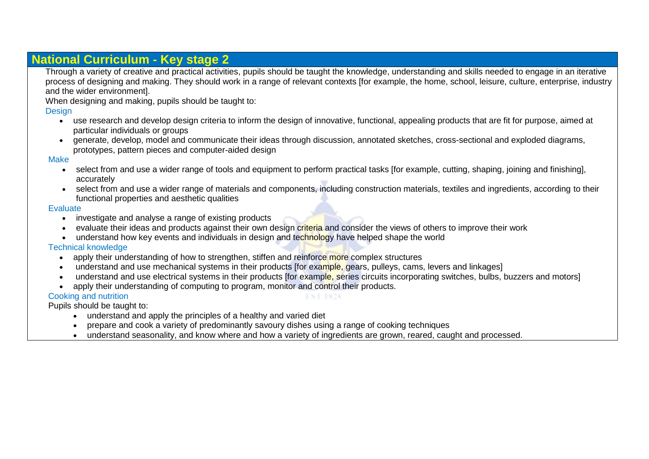# **National Curriculum - Key stage 2**

Through a variety of creative and practical activities, pupils should be taught the knowledge, understanding and skills needed to engage in an iterative process of designing and making. They should work in a range of relevant contexts [for example, the home, school, leisure, culture, enterprise, industry and the wider environment].

When designing and making, pupils should be taught to:

# **Design**

- use research and develop design criteria to inform the design of innovative, functional, appealing products that are fit for purpose, aimed at particular individuals or groups
- generate, develop, model and communicate their ideas through discussion, annotated sketches, cross-sectional and exploded diagrams, prototypes, pattern pieces and computer-aided design

#### Make

- select from and use a wider range of tools and equipment to perform practical tasks [for example, cutting, shaping, joining and finishing], accurately
- select from and use a wider range of materials and components, including construction materials, textiles and ingredients, according to their functional properties and aesthetic qualities

#### **Evaluate**

- investigate and analyse a range of existing products
- evaluate their ideas and products against their own design criteria and consider the views of others to improve their work
- understand how key events and individuals in design and technology have helped shape the world

# Technical knowledge

- apply their understanding of how to strengthen, stiffen and reinforce more complex structures
- understand and use mechanical systems in their products [for example, gears, pulleys, cams, levers and linkages]
- understand and use electrical systems in their products [for example, series circuits incorporating switches, bulbs, buzzers and motors]

FST 1826

• apply their understanding of computing to program, monitor and control their products.

# Cooking and nutrition

Pupils should be taught to:

- understand and apply the principles of a healthy and varied diet
- prepare and cook a variety of predominantly savoury dishes using a range of cooking techniques
- understand seasonality, and know where and how a variety of ingredients are grown, reared, caught and processed.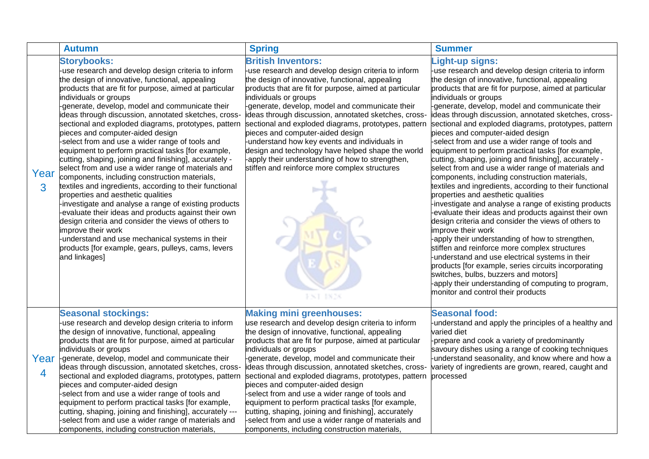|           | <b>Autumn</b>                                                                                                                                                                                                                                                                                                                                                                                                                                                                                                                                                                                                                                                                                                                                                                                                                                                                                                                                                                                                                                                                                                              | <b>Spring</b>                                                                                                                                                                                                                                                                                                                                                                                                                                                                                                                                                                                                                                                                                              | <b>Summer</b>                                                                                                                                                                                                                                                                                                                                                                                                                                                                                                                                                                                                                                                                                                                                                                                                                                                                                                                                                                                                                                                                                                                                                                                                                                                                                                                                     |
|-----------|----------------------------------------------------------------------------------------------------------------------------------------------------------------------------------------------------------------------------------------------------------------------------------------------------------------------------------------------------------------------------------------------------------------------------------------------------------------------------------------------------------------------------------------------------------------------------------------------------------------------------------------------------------------------------------------------------------------------------------------------------------------------------------------------------------------------------------------------------------------------------------------------------------------------------------------------------------------------------------------------------------------------------------------------------------------------------------------------------------------------------|------------------------------------------------------------------------------------------------------------------------------------------------------------------------------------------------------------------------------------------------------------------------------------------------------------------------------------------------------------------------------------------------------------------------------------------------------------------------------------------------------------------------------------------------------------------------------------------------------------------------------------------------------------------------------------------------------------|---------------------------------------------------------------------------------------------------------------------------------------------------------------------------------------------------------------------------------------------------------------------------------------------------------------------------------------------------------------------------------------------------------------------------------------------------------------------------------------------------------------------------------------------------------------------------------------------------------------------------------------------------------------------------------------------------------------------------------------------------------------------------------------------------------------------------------------------------------------------------------------------------------------------------------------------------------------------------------------------------------------------------------------------------------------------------------------------------------------------------------------------------------------------------------------------------------------------------------------------------------------------------------------------------------------------------------------------------|
| Year<br>3 | <b>Storybooks:</b><br>-use research and develop design criteria to inform<br>the design of innovative, functional, appealing<br>products that are fit for purpose, aimed at particular<br>individuals or groups<br>-generate, develop, model and communicate their<br>ideas through discussion, annotated sketches, cross-<br>sectional and exploded diagrams, prototypes, pattern<br>pieces and computer-aided design<br>-select from and use a wider range of tools and<br>equipment to perform practical tasks [for example,<br>cutting, shaping, joining and finishing], accurately -<br>select from and use a wider range of materials and<br>components, including construction materials,<br>textiles and ingredients, according to their functional<br>properties and aesthetic qualities<br>-investigate and analyse a range of existing products<br>-evaluate their ideas and products against their own<br>design criteria and consider the views of others to<br>improve their work<br>-understand and use mechanical systems in their<br>products [for example, gears, pulleys, cams, levers<br>and linkages] | <b>British Inventors:</b><br>use research and develop design criteria to inform<br>the design of innovative, functional, appealing<br>products that are fit for purpose, aimed at particular<br>individuals or groups<br>generate, develop, model and communicate their<br>ideas through discussion, annotated sketches, cross-<br>sectional and exploded diagrams, prototypes, pattern<br>pieces and computer-aided design<br>understand how key events and individuals in<br>design and technology have helped shape the world<br>-apply their understanding of how to strengthen,<br>stiffen and reinforce more complex structures<br>FNT 1826                                                          | Light-up signs:<br>-use research and develop design criteria to inform<br>the design of innovative, functional, appealing<br>products that are fit for purpose, aimed at particular<br>individuals or groups<br>-generate, develop, model and communicate their<br>ideas through discussion, annotated sketches, cross-<br>sectional and exploded diagrams, prototypes, pattern<br>pieces and computer-aided design<br>-select from and use a wider range of tools and<br>equipment to perform practical tasks [for example,<br>cutting, shaping, joining and finishing], accurately -<br>select from and use a wider range of materials and<br>components, including construction materials,<br>textiles and ingredients, according to their functional<br>properties and aesthetic qualities<br>-investigate and analyse a range of existing products<br>-evaluate their ideas and products against their own<br>design criteria and consider the views of others to<br>improve their work<br>-apply their understanding of how to strengthen,<br>stiffen and reinforce more complex structures<br>-understand and use electrical systems in their<br>products [for example, series circuits incorporating<br>switches, bulbs, buzzers and motors]<br>-apply their understanding of computing to program,<br>monitor and control their products |
| Year<br>4 | <b>Seasonal stockings:</b><br>-use research and develop design criteria to inform<br>the design of innovative, functional, appealing<br>products that are fit for purpose, aimed at particular<br>individuals or groups<br>-generate, develop, model and communicate their<br>ideas through discussion, annotated sketches, cross-<br>sectional and exploded diagrams, prototypes, pattern<br>pieces and computer-aided design<br>select from and use a wider range of tools and<br>equipment to perform practical tasks [for example,<br>cutting, shaping, joining and finishing], accurately ---<br>-select from and use a wider range of materials and<br>components, including construction materials,                                                                                                                                                                                                                                                                                                                                                                                                                 | <b>Making mini greenhouses:</b><br>use research and develop design criteria to inform<br>the design of innovative, functional, appealing<br>products that are fit for purpose, aimed at particular<br>individuals or groups<br>generate, develop, model and communicate their<br>ideas through discussion, annotated sketches, cross-<br>sectional and exploded diagrams, prototypes, pattern<br>pieces and computer-aided design<br>-select from and use a wider range of tools and<br>equipment to perform practical tasks [for example,<br>cutting, shaping, joining and finishing], accurately<br>-select from and use a wider range of materials and<br>components, including construction materials, | <b>Seasonal food:</b><br>-understand and apply the principles of a healthy and<br>varied diet<br>-prepare and cook a variety of predominantly<br>savoury dishes using a range of cooking techniques<br>-understand seasonality, and know where and how a<br>variety of ingredients are grown, reared, caught and<br>processed                                                                                                                                                                                                                                                                                                                                                                                                                                                                                                                                                                                                                                                                                                                                                                                                                                                                                                                                                                                                                     |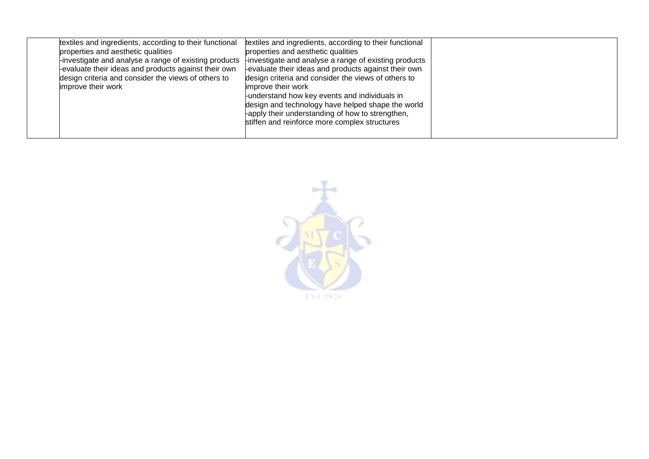| textiles and ingredients, according to their functional<br>properties and aesthetic qualities<br>-investigate and analyse a range of existing products<br>-evaluate their ideas and products against their own<br>design criteria and consider the views of others to<br>improve their work | textiles and ingredients, according to their functional<br>properties and aesthetic qualities<br>-investigate and analyse a range of existing products<br>-evaluate their ideas and products against their own<br>design criteria and consider the views of others to<br>improve their work<br>understand how key events and individuals in<br>design and technology have helped shape the world<br>-apply their understanding of how to strengthen,<br>stiffen and reinforce more complex structures |  |
|---------------------------------------------------------------------------------------------------------------------------------------------------------------------------------------------------------------------------------------------------------------------------------------------|-------------------------------------------------------------------------------------------------------------------------------------------------------------------------------------------------------------------------------------------------------------------------------------------------------------------------------------------------------------------------------------------------------------------------------------------------------------------------------------------------------|--|
|---------------------------------------------------------------------------------------------------------------------------------------------------------------------------------------------------------------------------------------------------------------------------------------------|-------------------------------------------------------------------------------------------------------------------------------------------------------------------------------------------------------------------------------------------------------------------------------------------------------------------------------------------------------------------------------------------------------------------------------------------------------------------------------------------------------|--|

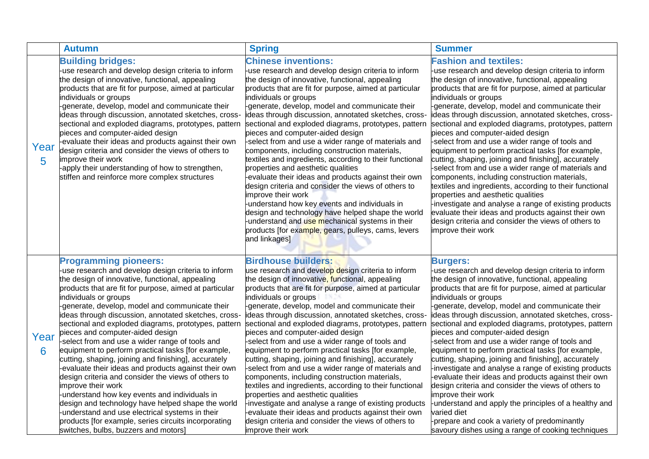|           | <b>Autumn</b>                                                                                                                                                                                                                                                                                                                                                                                                                                                                                                                                                                                                                                                                                                                                                                                                                                                                                                                                                                                  | <b>Spring</b>                                                                                                                                                                                                                                                                                                                                                                                                                                                                                                                                                                                                                                                                                                                                                                                                                                                                                                                                                                                                 | <b>Summer</b>                                                                                                                                                                                                                                                                                                                                                                                                                                                                                                                                                                                                                                                                                                                                                                                                                                                                                                                                                                                          |
|-----------|------------------------------------------------------------------------------------------------------------------------------------------------------------------------------------------------------------------------------------------------------------------------------------------------------------------------------------------------------------------------------------------------------------------------------------------------------------------------------------------------------------------------------------------------------------------------------------------------------------------------------------------------------------------------------------------------------------------------------------------------------------------------------------------------------------------------------------------------------------------------------------------------------------------------------------------------------------------------------------------------|---------------------------------------------------------------------------------------------------------------------------------------------------------------------------------------------------------------------------------------------------------------------------------------------------------------------------------------------------------------------------------------------------------------------------------------------------------------------------------------------------------------------------------------------------------------------------------------------------------------------------------------------------------------------------------------------------------------------------------------------------------------------------------------------------------------------------------------------------------------------------------------------------------------------------------------------------------------------------------------------------------------|--------------------------------------------------------------------------------------------------------------------------------------------------------------------------------------------------------------------------------------------------------------------------------------------------------------------------------------------------------------------------------------------------------------------------------------------------------------------------------------------------------------------------------------------------------------------------------------------------------------------------------------------------------------------------------------------------------------------------------------------------------------------------------------------------------------------------------------------------------------------------------------------------------------------------------------------------------------------------------------------------------|
| Year<br>5 | <b>Building bridges:</b><br>-use research and develop design criteria to inform<br>the design of innovative, functional, appealing<br>products that are fit for purpose, aimed at particular<br>individuals or groups<br>generate, develop, model and communicate their<br>ideas through discussion, annotated sketches, cross-<br>sectional and exploded diagrams, prototypes, pattern<br>pieces and computer-aided design<br>-evaluate their ideas and products against their own<br>design criteria and consider the views of others to<br>improve their work<br>-apply their understanding of how to strengthen,<br>stiffen and reinforce more complex structures                                                                                                                                                                                                                                                                                                                          | <b>Chinese inventions:</b><br>-use research and develop design criteria to inform<br>the design of innovative, functional, appealing<br>products that are fit for purpose, aimed at particular<br>individuals or groups<br>-generate, develop, model and communicate their<br>ideas through discussion, annotated sketches, cross-<br>sectional and exploded diagrams, prototypes, pattern<br>pieces and computer-aided design<br>-select from and use a wider range of materials and<br>components, including construction materials,<br>textiles and ingredients, according to their functional<br>properties and aesthetic qualities<br>-evaluate their ideas and products against their own<br>design criteria and consider the views of others to<br>improve their work<br>-understand how key events and individuals in<br>design and technology have helped shape the world<br>-understand and use mechanical systems in their<br>products [for example, gears, pulleys, cams, levers<br>and linkages] | <b>Fashion and textiles:</b><br>-use research and develop design criteria to inform<br>the design of innovative, functional, appealing<br>products that are fit for purpose, aimed at particular<br>individuals or groups<br>-generate, develop, model and communicate their<br>ideas through discussion, annotated sketches, cross-<br>sectional and exploded diagrams, prototypes, pattern<br>pieces and computer-aided design<br>-select from and use a wider range of tools and<br>equipment to perform practical tasks [for example,<br>cutting, shaping, joining and finishing], accurately<br>-select from and use a wider range of materials and<br>components, including construction materials,<br>textiles and ingredients, according to their functional<br>properties and aesthetic qualities<br>investigate and analyse a range of existing products<br>evaluate their ideas and products against their own<br>design criteria and consider the views of others to<br>improve their work |
| Year<br>6 | <b>Programming pioneers:</b><br>-use research and develop design criteria to inform<br>the design of innovative, functional, appealing<br>products that are fit for purpose, aimed at particular<br>individuals or groups<br>generate, develop, model and communicate their<br>ideas through discussion, annotated sketches, cross-<br>sectional and exploded diagrams, prototypes, pattern<br>pieces and computer-aided design<br>-select from and use a wider range of tools and<br>equipment to perform practical tasks [for example,<br>cutting, shaping, joining and finishing], accurately<br>-evaluate their ideas and products against their own<br>design criteria and consider the views of others to<br>improve their work<br>-understand how key events and individuals in<br>design and technology have helped shape the world<br>-understand and use electrical systems in their<br>products [for example, series circuits incorporating<br>switches, bulbs, buzzers and motors] | <b>Birdhouse builders:</b><br>use research and develop design criteria to inform<br>the design of innovative, functional, appealing<br>products that are fit for purpose, aimed at particular<br>individuals or groups<br>-generate, develop, model and communicate their<br>ideas through discussion, annotated sketches, cross-<br>sectional and exploded diagrams, prototypes, pattern<br>pieces and computer-aided design<br>-select from and use a wider range of tools and<br>equipment to perform practical tasks [for example,<br>cutting, shaping, joining and finishing], accurately<br>-select from and use a wider range of materials and<br>components, including construction materials,<br>textiles and ingredients, according to their functional<br>properties and aesthetic qualities<br>-investigate and analyse a range of existing products<br>-evaluate their ideas and products against their own<br>design criteria and consider the views of others to<br>improve their work         | <b>Burgers:</b><br>-use research and develop design criteria to inform<br>the design of innovative, functional, appealing<br>products that are fit for purpose, aimed at particular<br>individuals or groups<br>-generate, develop, model and communicate their<br>ideas through discussion, annotated sketches, cross-<br>sectional and exploded diagrams, prototypes, pattern<br>pieces and computer-aided design<br>-select from and use a wider range of tools and<br>equipment to perform practical tasks [for example,<br>cutting, shaping, joining and finishing], accurately<br>-investigate and analyse a range of existing products<br>-evaluate their ideas and products against their own<br>design criteria and consider the views of others to<br>improve their work<br>understand and apply the principles of a healthy and<br>varied diet<br>-prepare and cook a variety of predominantly<br>savoury dishes using a range of cooking techniques                                        |